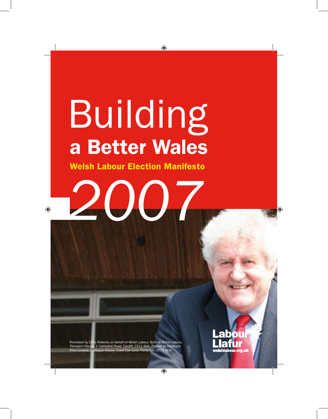# Building a Better Wales

 $\bigoplus$ 

Welsh Labour Election Manifesto

*2007*

 $\bigcirc$ 

Promoted by Chris Roberts on behalf of Welsh Labour. Both at Welsh Labour, Transport House, 1 Cathedral Road, Cardiff, CF11 9HA. Printed by Harlequin Puse, Coed Cae Lane, Pontyclun, CF72 9EW

 $\bigcirc$ 

r

**abou**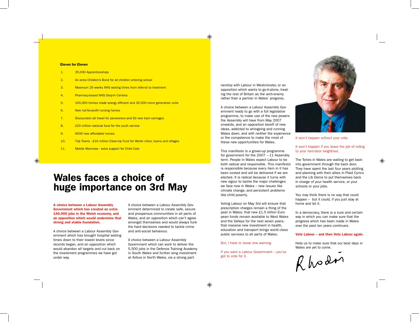#### ⊕

#### Eleven for Eleven

| 1.<br>25,000 Apprenticeships |  |
|------------------------------|--|
|------------------------------|--|

- 2. An extra Children's Bond for all children entering school
- 3. Maximum 26 weeks NHS waiting times from referral to treatment
- 4. Pharmacy-based NHS Drop-In Centres
- 5. 100,000 homes made energy efficient and 30,000 micro generation units
- 6. New not-for-profit nursing homes
- 7. Discounted rail travel for pensioners and 50 new train carriages
- 8. **£20 million national fund for the youth service**
- 9. 6500 new affordable homes

◈

- 10. Tidy Towns £16 million Clean-Up Fund for Welsh cities, towns and villages
- 11. Mobile Mammas extra support for Child Care

# Wales faces a choice of huge importance on 3rd May

A choice between a Labour Assembly Government which has created an extra 140,000 jobs in the Welsh economy, and an opposition which would undermine that strong and stable foundation.

A choice between a Labour Assembly Government which has brought hospital waiting times down to their lowest levels since records began, and an opposition which would abandon all targets and cut back on the investment programmes we have got under way.

A choice between a Labour Assembly Government determined to create safe, secure and prosperous communities in all parts of Wales, and an opposition which can't agree amongst themselves and would always funk the hard decisions needed to tackle crime and anti-social behaviour.

A choice between a Labour Assembly Government which can work to deliver the 5,500 jobs in the Defence Training Academy in South Wales and further wing investment at Airbus in North Wales, via a strong partnership with Labour in Westminster, or an opposition which wants to go-it-alone, treating the rest of Britain as the arch-enemy rather than a partner in Wales' progress.

A choice between a Labour Assembly Government ready to go with a full legislative programme, to make use of the new powers the Assembly will have from May 2007 onwards, and an opposition bereft of new ideas, addicted to whingeing and running Wales down, and with neither the experience or the competence to make the most of these new opportunities for Wales.

This manifesto is a grown-up programme for government for the 2007 – 11 Assembly term. People in Wales expect Labour to be both radical and responsible. This manifesto is responsible because every item in it has been costed and will be delivered if we are elected. It is radical because it turns with new vigour to tackle the major challenges we face now in Wales – new issues like climate change, and persistent problems like child poverty.

Voting Labour on May 3rd will ensure that prescription charges remain a thing of the past in Wales; that new £1.5 billion European funds remain available to West Wales and the Valleys for the next seven years; that massive new investment in health, education and transport brings world class public services to all parts of Wales.

But, I have to issue one warning.

If you want a Labour Government – you've got to vote for it.



It won't happen without your vote.

#### It won't happen if you leave the job of voting to your next-door neighbour.

The Tories in Wales are waiting to get back into government through the back door. They have spent the last four years plotting and planning with their allies in Plaid Cymru and the Lib Dems to put themselves back in charge of your health service, or your schools or your jobs.

You may think there is no way that could happen – but it could, if you just stay at home and let it.

In a democracy, there is a sure and certain way in which you can make sure that the progress which has been made in Wales over the past ten years continues.

#### Vote Labour – and then Vote Labour again.

Help us to make sure that our best days in Wales are yet to come.

Rhodon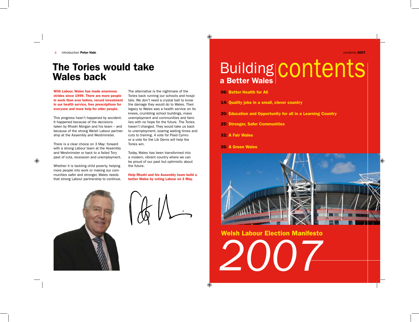introduction Peter Hain  $\overline{4}$ 

# The Tories would take Wales back

With Labour, Wales has made enormous strides since 1999. There are more people in work than ever before, record investment in our health service, free prescriptions for everyone and more help for older people.

This progress hasn't happened by accident. It happened because of the decisions taken by Rhodri Morgan and his team – and because of the strong Welsh Labour partnership at the Assembly and Westminster.

There is a clear choice on 3 May: forward with a strong Labour team at the Assembly and Westminster or back to a failed Tory past of cuts, recession and unemployment.

Whether it is tackling child poverty, helping more people into work or making our communities safer and stronger, Wales needs that strong Labour partnership to continue.

The alternative is the nightmare of the Tories back running our schools and hospitals. We don't need a crystal ball to know the damage they would do to Wales. Their legacy to Wales was a health service on its knees, crumbling school buildings, mass unemployment and communities and families with no hope for the future. The Tories haven't changed. They would take us back to unemployment, soaring waiting times and cuts to training. A vote for Plaid Cymru or a vote for the Lib Dems will help the Tories win.

Today, Wales has been transformed into a modern, vibrant country where we can be proud of our past but optimistic about the future.

Help Rhodri and his Assembly team build a better Wales by voting Labour on 3 May.



| $\sqrt{\Phi}$ |  |
|---------------|--|

contents 2007

# Building Building Contents

06: Better Health for All

⊕

 $\bigoplus$ 

14: Quality jobs in a small, clever country

20: Education and Opportunity for all in a Learning Country

25: Stronger, Safer Communities

32: A Fair Wales

36: A Green Wales



*2007* Welsh Labour Election Manifesto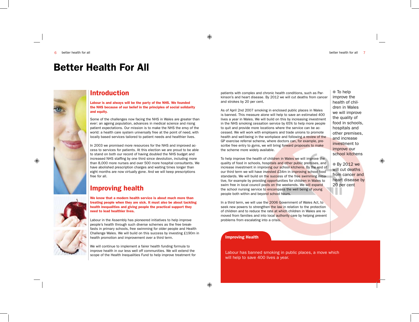# Better Health For All



#### Introduction

Labour is and always will be the party of the NHS. We founded the NHS because of our belief in the principles of social solidarity and equity.

Some of the challenges now facing the NHS in Wales are greater than ever: an ageing population, advances in medical science and rising patient expectations. Our mission is to make the NHS the envy of the world: a health care system universally free at the point of need, with locally based services tailored to patient needs and healthier lives.

In 2003 we promised more resources for the NHS and improved access to services for patients. At this election we are proud to be able to stand on both our record of having doubled the NHS budget and increased NHS staffing by one third since devolution, including more than 8,000 more nurses and over 500 more hospital consultants. We have abolished prescription charges and waiting times longer than eight months are now virtually gone. And we will keep prescriptions free for all.

#### Improving health



We know that a modern health service is about much more than treating people when they are sick. It must also be about tackling health inequalities and giving people the practical support they need to lead healthier lives.

Labour in the Assembly has pioneered initiatives to help improve people's health through such diverse schemes as the free breakfasts in primary schools, free swimming for older people and Health Challenge Wales. We will build on this success by investing £190m in health promotion and improvement over a third term.

We will continue to implement a fairer health funding formula to improve health in our less well off communities. We will extend the scope of the Health Inequalities Fund to help improve treatment for

patients with complex and chronic health conditions, such as Parkinson's and heart disease. By 2012 we will cut deaths from cancer and strokes by 20 per cent.

As of April 2nd 2007 smoking in enclosed public places in Wales is banned. This measure alone will help to save an estimated 400 lives a year in Wales. We will build on this by increasing investment in the NHS smoking cessation service by 65% to help more people to quit and provide more locations where the service can be accessed. We will work with employers and trade unions to promote health and well-being in the workplace and following a review of the GP exercise referral scheme, where doctors can, for example, prescribe free entry to gyms, we will bring forward proposals to make the scheme more widely available.

To help improve the health of children in Wales we will improve the quality of food in schools, hospitals and other public premises, and increase investment in improving our school kitchens. By the end of our third term we will have invested £34m in improving school food standards. We will build on the success of the free swimming initiative, for example by providing opportunities for children in Wales to swim free in local council pools on the weekends. We will expand the school nursing service to encompass the well being of young people both within and beyond school hours.

In a third term, we will use the 2006 Government of Wales Act, to seek new powers to strengthen the law in relation to the protection of children and to reduce the rate at which children in Wales are removed from families and into local **authority** care by helping prevent problems from escalating into a crisis.

#### Improving Health

Labour has banned smoking in public places, a move which will help to save 400 lives a year.

● To help improve the health of children in Wales we will improve the quality of food in schools, hospitals and other premises, and increase investment to improve our school kitchens

**By 2012 we** will cut deaths from cancer and heart disease by 20 per cent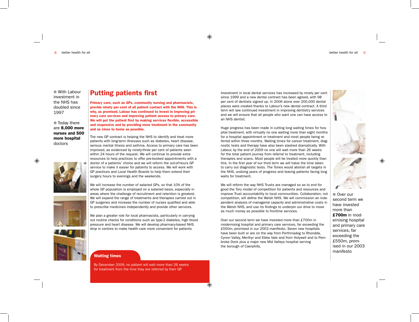$\mathsf{R}$ better health for all better health for all

● With Labour investment in the NHS has doubled since 1997

 $\bullet$  Today there are 8,000 more nurses and 500 more hospital doctors

We will increase the number of salaried GPs, so that 10% of the whole GP population is employed on a salaried basis, especially in areas where the challenge of recruitment and retention is greatest. We will expand the range of treatments and therapies carried out in GP surgeries and increase the number of nurses qualified and able to prescribe medicines independently and provide other services.

Primary care, such as GPs, community nursing and pharmacists, provide ninety per cent of all patient contact with the NHS. This is why, as promised, Labour has continued to invest in improving primary care services and improving patient access to primary care. We will put the patient first by making services flexible, accessible and responsive and by providing more treatment in the community

The new GP contract is helping the NHS to identify and treat more patients with long-term illnesses such as diabetes, heart disease, serious mental illness and asthma. Access to primary care has been improved, as evidenced by ninety-three per cent of patients seen within 24 hours of the request. We will continue to provide extra resources to help practices to offer pre-booked appointments with a doctor of a patients' choice and we will reform the out-of-hours GP service to make it easier for patients to access. We will work with GP practices and Local Health Boards to help them extend their

Putting patients first

and as close to home as possible.

surgery hours to evenings and the weekends.

We plan a greater role for local pharmacists, particularly in carrying out routine checks for conditions such as type-2 diabetes, high blood pressure and heart disease. We will develop pharmacy-based NHS drop in centres to make health care more convenient for patients



Waiting times

By December 2009, no patient will wait more than 26 weeks for treatment from the time they are referred by their GP.

Investment in local dental services has increased by ninety per cent since 1999 and a new dental contract has been agreed, with 98 per cent of dentists signed up. In 2006 alone over 200,000 dental places were created thanks to Labour's new dental contract. A third term will see continued investment in improving dentistry services and we will ensure that all people who want one can have access to an NHS dentist.

Huge progress has been made in cutting long waiting times for hospital treatment, with virtually no one waiting more than eight months for a hospital appointment or treatment and most people being referred within three months. Waiting times for cancer treatment, diagnostic tests and therapy have also been slashed dramatically. With Labour, by the end of 2009 no one will wait more than 26 weeks for the total patient journey from referral to treatment, including therapies and scans. Most people will be treated more quickly than this. In the first year of our third term we will halve the time taken to carry out diagnostic tests. The Tories would abolish all targets in the NHS, undoing years of progress and leaving patients facing long waits for treatment.

We will reform the way NHS Trusts are managed so as to end for good the Tory model of competition for patients and resources and improve Trust accountability to local communities. Collaboration, not competition, will define the Welsh NHS. We will commission an independent analysis of managerial capacity and administrative costs in the Welsh NHS, and use its findings to underpin our drive to move as much money as possible to frontline services.

Over our second term we have invested more than £700m in modernising hospital and primary care services, far exceeding the £550m, promised in our 2003 manifesto. Seven new hospitals have been built or are on the way from Porthmadog to Rhondda, Cynon Valley, Merthyr and Ebbw Vale and from Holywell and to Pembroke Dock plus a major new Mid Valleys hospital serving the borough of Caerphilly.





◈

**Over our** second term we have invested more than £700m in modernising hospital and primary care services, far exceeding the £550m, promised in our 2003 manifesto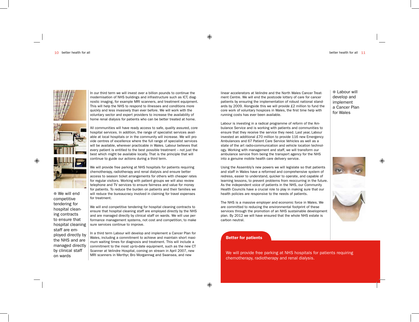



◈

 $\bullet$  We will end competitive tendering for hospital cleaning contracts to ensure that hospital cleaning staff are employed directly by the NHS and are managed directly by clinical staff

In our third term we will invest over a billion pounds to continue the modernisation of NHS buildings and infrastructure such as ICT, diagnostic imaging, for example MRI scanners, and treatment equipment. This will help the NHS to respond to illnesses and conditions more quickly and less invasively than ever before. We will work with the voluntary sector and expert providers to increase the availability of home renal dialysis for patients who can be better treated at home.

All communities will have ready access to safe, quality assured, core hospital services. In addition, the range of specialist services available at local hospitals or in the community will increase. We will provide centres of excellence where the full range of specialist services will be available, wherever practicable in Wales. Labour believes that every patient is entitled to the best possible treatment – not just the best which might be available locally. That is the principle that will continue to guide our actions during a third term.

We will provide free parking at NHS hospitals for patients requiring chemotherapy, radiotherapy and renal dialysis and ensure better access to season ticket arrangements for others with cheaper rates for regular visitors. Working with patient groups we will also review telephone and TV services to ensure fairness and value for money for patients. To reduce the burden on patients and their families we will reduce the bureaucracy involved in claiming for travel expenses for treatment.

We will end competitive tendering for hospital cleaning contracts to ensure that hospital cleaning staff are employed directly by the NHS and are managed directly by clinical staff on wards. We will use performance management systems, not cost and competition, to make sure services continue to improve.

In a third term Labour will develop and implement a Cancer Plan for Wales, including a commitment to achieve and maintain short maximum waiting times for diagnosis and treatment. This will include a commitment to the most up-to-date equipment, such as the new CT Scanner at Velindre Hospital, coming on stream in April 2007, new MRI scanners in Merthyr, Bro Morgannwg and Swansea, and new

linear accelerators at Velindre and the North Wales Cancer Treatment Centre. We will end the postcode lottery of care for cancer patients by ensuring the implementation of robust national standards by 2009. Alongside this we will provide £2 million to fund the core work of voluntary hospices in Wales, the first time help with running costs has ever been available.

Labour is investing in a radical programme of reform of the Ambulance Service and is working with patients and communities to ensure that they receive the service they need. Last year, Labour invested an additional £70 million to provide 116 new Emergency Ambulances and 67 Patient Care Service Vehicles as well as a state of the art radio-communication and vehicle location technology. Working with management and staff, we will transform our ambulance service from being the transport agency for the NHS into a genuine mobile health care delivery service.

Using the Assembly's new powers we will legislate so that patients and staff in Wales have a reformed and comprehensive system of redress, easier to understand, quicker to operate, and capable of learning lessons, to prevent problems from reoccurring in the future. As the independent voice of patients in the NHS, our Community Health Councils have a crucial role to play in making sure that our health policies are responsive to the needs of patients.

The NHS is a massive employer and economic force in Wales. We are committed to reducing the environmental footprint of these services through the promotion of an NHS sustainable development plan. By 2012 we will have ensured that the whole NHS estate is carbon neutral.

Better for patients

on wards and the scaling at venture ruspital, coming on stream in April 2007, new We will provide free parking at NHS hospitals for patients requiring<br>The will provide free parking at NHS hospitals for patients requiring chemotherapy, radiotherapy and renal dialysis.

**Labour will** develop and implement a Cancer Plan for Wales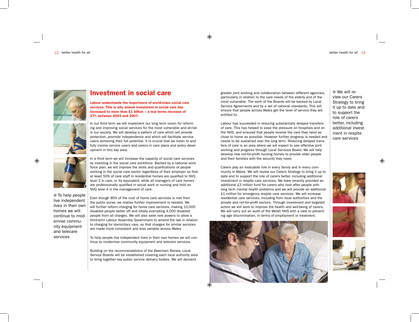

#### Investment in social care

Labour understands the importance of world-class social care services. This is why annual investment in social care has increased to more than £1 billion – a real terms increase of 27% between 2003 and 2007.



◈

 $\bullet$  To help people live independent lives in their own homes we will continue to modernise community equipment and telecare services

In our third term we will implement our long term vision for reforming and improving social services for the most vulnerable and at-risk in our society. We will develop a pattern of care which will provide protection, promote independence and which will facilitate service users achieving their full potential. It is crucial that we listen to and fully involve service users and carers in care plans and policy development in this key area.

In a third term we will increase the capacity of social care services by investing in the social care workforce. Backed by a national workforce plan, we will improve the skills and qualifications of people working in the social care sector regardless of their employer so that at least 50% of care staff in residential homes are qualified to NVQ level 2 in care, or its equivalent, while all managers of care homes are professionally qualified in social work or nursing and hold an NVQ level 4 in the management of care.

Even though 80% of the cost of home care services is met from the public purse, we realise further improvement is needed. We will further reform charging for home care services, making 10,000 disabled people better off and totally exempting 4,000 disabled people from all charges. We will also seek new powers to allow a third-term Labour Assembly Government to amend the law in relation to charging for domiciliary care, so that charges for similar services are made more consistent and less variable across Wales.

To help people live independent lives in their own homes we will continue to modernise community equipment and telecare services.

Building on the recommendations of the Beecham Review, Local Service Boards will be established covering each local authority area to bring together key public service delivery bodies. We will demand

greater joint working and collaboration between different agencies, particularly in relation to the care needs of the elderly and of the most vulnerable. The work of the Boards will be backed by Local Service Agreements and by a set of national standards. This will ensure that people across Wales get the level of service they are entitled to.

Labour has succeeded in reducing substantially delayed transfers of care. This has helped to ease the pressure on hospitals and on the NHS, and ensured that people receive the care they need as close to home as possible. However further progress is needed and needs to be sustained over the long term. Reducing delayed transfers of care is an area where we will expect to see effective joint working and progress through Local Services Board. We will help develop new not-for-profit nursing homes to provide older people and their families with the security they need.

Carers play an invaluable role in every family and in every community in Wales. We will review our Carers Strategy to bring it up to date and to support the role of carers better, including additional investment in respite care services. We have recently provided an additional £3 million fund for carers who look after people with long term mental health problems and we will provide an additional £1 million for emergency respite care services. We will increase residential care services, including from local authorities and the private and not-for-profit sectors. Through investment and targeted action we will work to improve the health and well-being of carers. We will carry out an audit of the Welsh NHS with a view to preventing age discrimination, in terms of employment or treatment.



 $\bullet$  We will review our Carers Strategy to bring it up to date and to support the role of carers better, including additional investment in respite care services





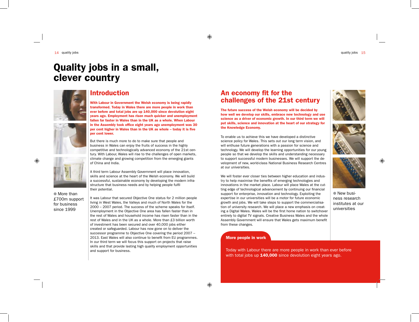# Quality jobs in a small, clever country



#### Introduction

With Labour in Government the Welsh economy is being rapidly transformed. Today in Wales there are more people in work than ever before and total jobs are up 140,000 since devolution eight years ago. Employment has risen much quicker and unemployment fallen far faster in Wales than in the UK as a whole. When Labour in the Assembly took office eight years ago unemployment was 30 per cent higher in Wales than in the UK as whole – today it is five per cent lower.

But there is much more to do to make sure that people and business in Wales can enjoy the fruits of success in the highly competitive and technologically advanced economy of the 21st century. With Labour, Wales will rise to the challenges of open markets, climate change and growing competition from the emerging giants of China and India.

A third term Labour Assembly Government will place innovation, skills and science at the heart of the Welsh economy. We will build a successful, sustainable economy by developing the modern infrastructure that business needs and by helping people fulfil their potential.

● More than £700m support for business since 1999

It was Labour that secured Objective One status for 2 million people living in West Wales, the Valleys and much of North Wales for the 2000 – 2007 period. The success of the scheme speaks for itself. Unemployment in the Objective One area has fallen faster than in the rest of Wales and household income has risen faster than in the rest of Wales and in the UK as a whole. More than £3 billion worth of investment has been secured and over 40,000 jobs either created or safeguarded. Labour has now gone on to deliver the successor programme to Objective One covering the period 2007 – 2013. East Wales will also continue to benefit from EU programmes. In our third term we will focus this support on projects that raise skills and that provide lasting high quality employment opportunities and support for business.

#### An economy fit for the challenges of the 21st century

The future success of the Welsh economy will be decided by how well we develop our skills, embrace new technology and use science as a driver of economic growth. In our third term we will put skills, science and innovation at the heart of our strategy for the Knowledge Economy.

To enable us to achieve this we have developed a distinctive science policy for Wales. This sets out our long term vision, and will enthuse future generations with a passion for science and technology. We will develop the learning opportunities for our young people so that we develop the skills and understanding necessary to support successful modern businesses. We will support the development of new, world-class National Business Research Centres at our universities.

We will foster ever closer ties between higher education and industry to help maximise the benefits of emerging technologies and innovations in the market place. Labour will place Wales at the cutting edge of technological advancement by continuing our financial support for enterprise, innovation and technology. Exploiting the expertise in our universities will be a motor for future economic growth and jobs. We will take steps to support the commercialisation of university research. We will place a new emphasis on creating a Digital Wales. Wales will be the first home nation to switchover entirely to digital TV signals. Creative Business Wales and the whole Assembly Government will ensure that Wales gets maximum benefit from these changes.

#### More people in work

Today with Labour there are more people in work than ever before with total jobs up **140,000** since devolution eight years ago.







◈

 $\bullet$  New business research institutes at our universities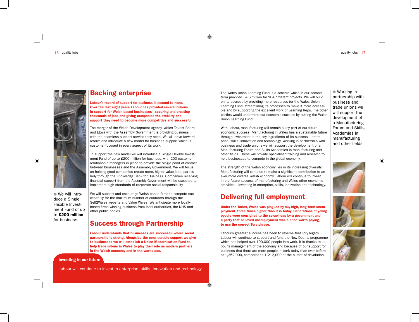

 $\bullet$  We will introduce a Single Flexible Investment Fund of up to £200 million for business

Backing enterprise

Labour's record of support for business is second to none. Over the last eight years Labour has provided several billions in support for Welsh based businesses - securing and creating thousands of jobs and giving companies the stability and support they need to become more competitive and successful.

The merger of the Welsh Development Agency, Wales Tourist Board and ELWa with the Assembly Government is providing business with the seamless support service they need. We will drive forward reform and introduce a new model for business support which is customer-focused in every aspect of its work.

To support the new model we will introduce a Single Flexible Investment Fund of up to £200 million for business, with 200 customer relationship managers in place to provide the single point of contact between businesses and the Assembly Government. We will focus on helping good companies create more, higher value jobs, particularly through the Knowledge Bank for Business. Companies receiving financial support from the Assembly Government will be expected to implement high standards of corporate social responsibility.

We will support and encourage Welsh based firms to compete successfully for the maximum number of contracts through the Sell2Wales website and Value Wales. We anticipate more locally based firms winning business from local authorities, the NHS and other public bodies.

#### Success through Partnership

Labour understands that businesses are successful where social partnership is strong. Alongside the considerable support we give to businesses we will establish a Union Modernisation Fund to help trade unions in Wales to play their role as modern partners in the Welsh economy and in the workplace.

#### Investing in our future

Labour will continue to invest in enterprise, skills, innovation and technology.

The Wales Union Learning Fund is a scheme which in our second term provided £4.6 million for 104 different projects. We will build on its success by providing more resources for the Wales Union Learning Fund, streamlining its processes to make it more accessible and by supporting the excellent work of Learning Reps. The other parties would undermine our economic success by cutting the Wales Union Learning Fund.

With Labour, manufacturing will remain a key part of our future economic success. Manufacturing in Wales has a sustainable future through investment in the key ingredients of its success – enterprise, skills, innovation and technology. Working in partnership with business and trade unions we will support the development of a Manufacturing Forum and Skills Academies in manufacturing and other fields. These will provide specialised training and research to help businesses to compete in the global economy.

The strength of the Welsh economy lies in its increasing diversity. Manufacturing will continue to make a significant contribution to an ever more diverse Welsh economy. Labour will continue to invest in the future success of manufacturing and Wales other economic activities – investing in enterprise, skills, innovation and technology.

#### Delivering full employment

Under the Tories, Wales was plagued by sky-high, long term unemployment, three times higher than it is today. Generations of young people were consigned to the scrap-heap by a government and a party that believed unemployment was a price worth paying, to use the correct Tory phrase.

Labour's greatest success has been to reverse that Tory legacy. Labour will continue to support and fund the New Deal, a programme which has helped over 100,000 people into work. It is thanks to Labour's management of the economy and because of our support for business that there are more people in work today than ever before at 1,352,000, compared to 1,212,000 at the outset of devolution.

 $\bullet$  Working in partnership with business and trade unions we will support the development of a Manufacturing Forum and Skills Academies in manufacturing and other fields



◈



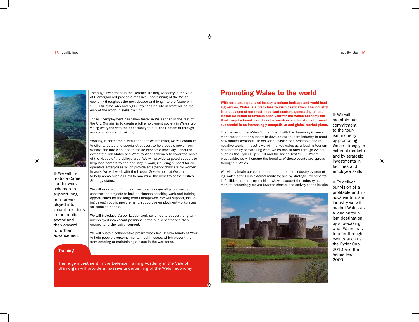

 $\bullet$  We will introduce Career Ladder work schemes to support long term unemployed into vacant positions in the public sector and then onward to further advancement

The huge investment in the Defence Training Academy in the Vale of Glamorgan will provide a massive underpinning of the Welsh economy throughout the next decade and long into the future with 5,500 full-time jobs and 5,000 trainees on site in what will be the envy of the world in skills training.

Today, unemployment has fallen faster in Wales than in the rest of the UK. Our aim is to create a full employment society in Wales providing everyone with the opportunity to fulfil their potential through work and study and training.

Working in partnership with Labour at Westminster, we will continue to offer targeted and specialist support to help people move from welfare and into work and to tackle economic inactivity. Labour will extend the Job Match and Want to Work schemes to cover the whole of the Heads of the Valleys area. We will provide targeted support to help lone parents to find and stay in work, including support for cooperative enterprises which provide emergency childcare for women in work. We will work with the Labour Government at Westminster to help areas such as Rhyl to maximise the benefits of their Cities Strategy status.

We will work within European law to encourage all public sector construction projects to include clauses specifing work and training opportunities for the long term unemployed. We will support, including through public procurement, supportive employment workplaces for disabled people.

We will introduce Career Ladder work schemes to support long term unemployed into vacant positions in the public sector and then onward to further advancement.

We will sustain collaborative programmes like Healthy Minds at Work to help people overcome mental health issues which prevent them from entering or maintaining a place in the workforce.

#### **Training**

The huge investment in the Defence Training Academy in the Vale of Glamorgan will provide a massive underpinning of the Welsh economy.

#### Promoting Wales to the world

⊕

↔

With outstanding natural beauty, a unique heritage and world leading venues, Wales is a first class tourism destination. The industry is already one of our most important sectors, generating an estimated £2 billion of revenue each year for the Welsh economy but it will require investment in skills, services and locations to remain successful in an increasingly competitive and global market place.

The merger of the Wales Tourist Board with the Assembly Government means better support to develop our tourism industry to meet new market demands. To deliver our vision of a profitable and innovative tourism industry we will market Wales as a leading tourism destination by showcasing what Wales has to offer through events such as the Ryder Cup 2010 and the Ashes Test 2009. Where practicable, we will ensure the benefits of these events are spread throughout Wales.

We will maintain our commitment to the tourism industry by promoting Wales strongly in external markets; and by strategic investments in facilities and employee skills. We will support the industry as the market increasingly moves towards shorter and activity-based breaks.



 $\bullet$  We will maintain our commitment to the tourism industry by promoting Wales strongly in external markets and by strategic investments in facilities and employee skills

⊕

 $\bullet$  To deliver our vision of a profitable and innovative tourism industry we will market Wales as a leading tourism destination by showcasing what Wales has to offer through events such as the Ryder Cup 2010 and the Ashes Test 2009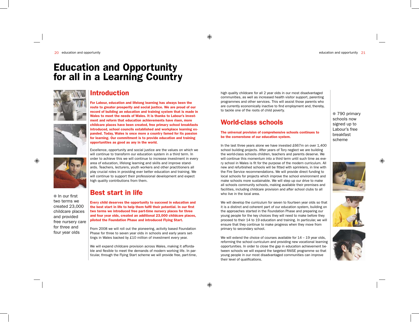# Education and Opportunity for all in a Learning Country



 $\bullet$  In our first two terms we created 23,000 childcare places and provided free nursery care for three and four year olds

#### Introduction

For Labour, education and lifelong learning has always been the route to greater prosperity and social justice. We are proud of our record of building an education and training system that is made in Wales to meet the needs of Wales. It is thanks to Labour's investment and reform that education achievements have risen, more childcare places have been created, free primary school breakfasts introduced, school councils established and workplace learning expanded. Today, Wales is once more a country famed for its passion for learning. Our commitment is to provide education and training opportunities as good as any in the world.

Excellence, opportunity and social justice are the values on which we will continue to transform our education system in a third term. In order to achieve this we will continue to increase investment in every area of education, lifelong learning and skills and improve standards. Teachers, lecturers, youth workers and other practitioners all play crucial roles in providing ever better education and training. We will continue to support their professional development and expect high quality contributions from them.

#### Best start in life

Every child deserves the opportunity to succeed in education and the best start in life to help them fulfil their potential. In our first two terms we introduced free part-time nursery places for three and four year olds, created an additional 23,000 childcare places, piloted the Foundation Phase and introduced Flying Start.

From 2008 we will roll out the pioneering, activity based Foundation Phase for three to seven year olds in schools and early years settings in Wales backed by £10 million of investment every year.

We will expand childcare provision across Wales, making it affordable and flexible to meet the demands of modern working life. In particular, through the Flying Start scheme we will provide free, part-time, high quality childcare for all 2 year olds in our most disadvantaged communities, as well as increased health visitor support, parenting programmes and other services. This will assist those parents who are currently economically inactive to find employment and, thereby, to tackle one of the roots of child poverty.

### World-class schools

#### The universal provision of comprehensive schools continues to be the cornerstone of our education system.

In the last three years alone we have invested £667m on over 1,400 school building projects. After years of Tory neglect we are building the world-class schools children, teachers and parents deserve. We will continue this momentum into a third term until such time as every school in Wales is fit for the purpose of the modern curriculum. All new and refurbished schools will be fitted with sprinklers, in line with the Fire Service recommendations. We will provide direct funding to local schools for projects which improve the school environment and make schools more sustainable. We will step up our drive to make all schools community schools, making available their premises and facilities, including childcare provision and after school clubs to all who live in the local area.

We will develop the curriculum for seven to fourteen year olds so that it is a distinct and coherent part of our education system, building on the approaches started in the Foundation Phase and preparing our young people for the key choices they will need to make before they proceed to their 14 to 19 education and training. In particular, we will ensure that they continue to make progress when they move from primary to secondary school.

We will extend the choice of courses available for  $14 - 19$  year olds, reforming the school curriculum and providing new vocational learning opportunities. In order to close the gap in education achievement between schools we will expand the targeted RAISE programme so that young people in our most disadvantaged communities can improve their level of qualifications.

● 790 primary schools now signed up to Labour's free breakfast scheme





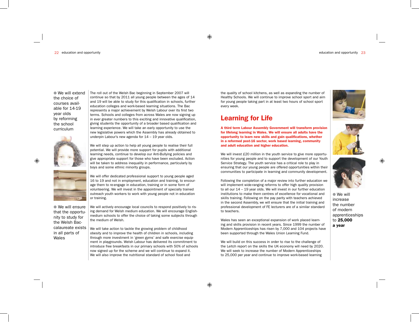22 education and opportunity education and opportunity 23

 $\bullet$  We will extend the choice of courses available for 14-19 year olds by reforming the school curriculum



continue so that by 2011 all young people between the ages of 14 and 19 will be able to study for this qualification in schools, further education colleges and work-based learning situations. The Bac represents a major achievement by Welsh Labour over its first two terms. Schools and colleges from across Wales are now signing up in ever greater numbers to this exciting and innovative qualification, giving students the opportunity of a broader based qualification and learning experience. We will take an early opportunity to use the new legislative powers which the Assembly has already obtained to underpin Labour's new agenda for 14 – 19 year olds.

The roll out of the Welsh Bac beginning in September 2007 will

We will step up action to help all young people to realise their full potential. We will provide more support for pupils with additional learning needs, continue to develop our Anti-Bullying policies and give appropriate support for those who have been excluded. Action will be taken to address inequality in performance, particularly by



 $\bullet$  We will ensure that the opportunity to study for the Welsh Baccalaureate exists in all parts of Wales

boys and some ethnic minority groups. We will offer dedicated professional support to young people aged 16 to 19 and not in employment, education and training, to encourage them to re-engage in education, training or in some form of volunteering. We will invest in the appointment of specially trained outreach youth workers to work with young people not in education or training.

We will actively encourage local councils to respond positively to rising demand for Welsh medium education. We will encourage Englishmedium schools to offer the choice of taking some subjects through the medium of Welsh.

We will take action to tackle the growing problem of childhood obesity and to improve the health of children in schools, including through more investment in 'green gyms' and safe exercise equipment in playgrounds. Welsh Labour has delivered its commitment to introduce free breakfasts in our primary schools with 50% of schools now signed up for the scheme and we will continue to expand it. We will also improve the nutritional standard of school food and

the quality of school kitchens, as well as expanding the number of Healthy Schools. We will continue to improve school sport and aim for young people taking part in at least two hours of school sport every week.

#### Learning for Life

A third term Labour Assembly Government will transform provision for lifelong learning in Wales. We will ensure all adults have the opportunity to learn new skills and gain qualifications, whether in a reformed post-16 sector, work based learning, community and adult education and higher education.

We will invest £20 million in the youth service to give more opportunities for young people and to support the development of our Youth Service Strategy. The youth service has a critical role to play in ensuring that our young people are offered opportunities within their communities to participate in learning and community development.

Following the completion of a major review into further education we will implement wide-ranging reforms to offer high quality provision to all our 14 – 19 year olds. We will invest in our further education institutions to make them centres of excellence for vocational and skills training. Following on the pay parity with teachers achieved in the second Assembly, we will ensure that the initial training and professional development of FE lecturers are of a similar standard to teachers.

Wales has seen an exceptional expansion of work placed learning and skills provision in recent years. Since 1999 the number of Modern Apprenticeships has risen by 7,000 and 104 projects have been supported through the Wales Union Learning Fund.

We will build on this success in order to rise to the challenge of the Leitch report on the skills the UK economy will need by 2020. We will seek to increase the number of Modern Apprenticeships to 25,000 per year and continue to improve work-based learning







⊕

 $\bullet$  We will increase the number of modern apprenticeships to 25,000 a year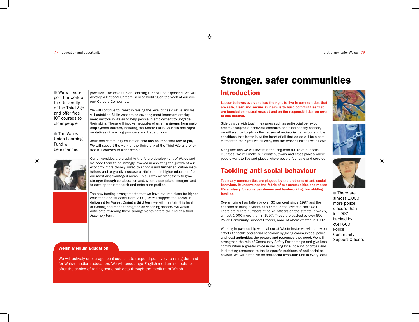$\bullet$  We will support the work of the University of the Third Age and offer free ICT courses to older people

● The Wales Union Learning Fund will be expanded

◈



provision. The Wales Union Learning Fund will be expanded. We will develop a National Careers Service building on the work of our current Careers Companies.

We will continue to invest in raising the level of basic skills and we will establish Skills Academies covering most important employment sectors in Wales to help people in employment to upgrade their skills. These will involve networks of existing groups from major employment sectors, including the Sector Skills Councils and representatives of learning providers and trade unions.

Adult and community education also has an important role to play. We will support the work of the University of the Third Age and offer free ICT courses to older people.

Our universities are crucial to the future development of Wales and we need them to be strongly involved in assisting the growth of our economy, more closely linked to schools and further education institutions and to greatly increase participation in higher education from our most disadvantaged areas. This is why we want them to grow stronger through collaboration and, where appropriate, mergers and to develop their research and enterprise profiles.

The new funding arrangements that we have put into place for higher education and students from 2007/08 will support the sector in delivering for Wales. During a third term we will maintain this level of funding and monitor progress on widening access. We would anticipate reviewing these arrangements before the end of a third Assembly term.

#### Welsh Medium Education

We will actively encourage local councils to respond positively to rising demand for Welsh medium education. We will encourage English-medium schools to offer the choice of taking some subjects through the medium of Welsh.

# Stronger, safer communities

### Introduction

⊕

Labour believes everyone has the right to live in communities that are safe, clean and secure. Our aim is to build communities that are founded on mutual respect and on the responsibilities we owe to one another.

Side by side with tough measures such as anti-social behaviour orders, acceptable behaviour contracts and fixed penalty notices, we will also be tough on the causes of anti-social behaviour and the conditions that foster it. At the heart of all that we do will be a commitment to the rights we all enjoy and the responsibilities we all owe.

Alongside this we will invest in the long-term future of our communities. We will make our villages, towns and cities places where people want to live and places where people feel safe and secure.

#### Tackling anti-social behaviour

Too many communities are plagued by the problems of anti-social behaviour. It undermines the fabric of our communities and makes life a misery for some pensioners and hard-working, law abiding families.

Overall crime has fallen by over 30 per cent since 1997 and the chances of being a victim of a crime is the lowest since 1981. There are record numbers of police officers on the streets in Wales, almost 1,000 more than in 1997. These are backed by over 600 Police Community Support Officers, none of whom existed in 1997.

Working in partnership with Labour at Westminster we will renew our efforts to tackle anti-social behaviour by giving communities, police and local authorities the powers and resources they need. We will strengthen the role of Community Safety Partnerships and give local communities a greater voice in deciding local policing priorities and in directing resources to tackle specific problems of anti-social behaviour. We will establish an anti-social behaviour unit in every local







• There are almost 1,000 more police officers than in 1997, backed by over 600 Police Community Support Officers ◈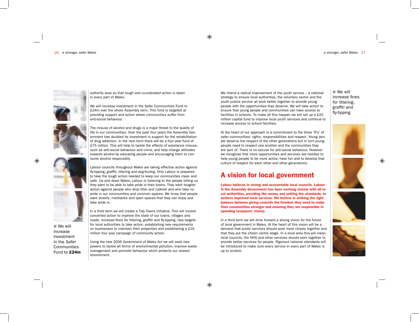#### 26 a stronger, safer Wales a stronger, safer Wales 27



authority area so that tough and co-ordinated action is taken in every part of Wales.

We will increase investment in the Safer Communities Fund to £24m over the whole Assembly term. This fund is targeted at providing support and action where communities suffer from anti-social behaviour.



 $\bullet$  We will increase investment in the Safer **Communities** Fund to £24m

The misuse of alcohol and drugs is a major threat to the quality of life in our communities. Over the past four years the Assembly Government has doubled its investment in support for the rehabilitation of drug addiction. In the next term there will be a four year fund of £75 million. This will help to tackle the effects of substance misuse, such as anti-social behaviour and crime, and help change attitudes towards alcohol by educating people and encouraging them to consume alcohol responsibly.



In a third term we will create a Tidy Towns initiative. This will involve concerted action to improve the state of our towns, villages and roads: increasd fines for littering, graffiti and fly-tipping, new targets for local authorities to take action, establishing new requirements on businesses to maintain their properties and establishing a £16 million four year campaign of community action.

Using the new 2006 Government of Wales Act we will seek new powers to tackle all forms of environmental pollution, improve waste management and promote behaviour which protects our shared environment.

We intend a radical improvement of the youth service – a national strategy to ensure local authorities, the voluntary sector and the youth justice service all work better together to provide young people with the opportunities they deserve. We will take action to ensure that young people and communities can have access to facilities in schools. To make all this happen we will set up a £20 million capital fund to improve local youth services and continue to increase access to school facilities.

At the heart of our approach is a commitment to the three 'R's' of safer communities: rights, responsibilities and respect. Young people deserve the respect of the other generations but in turn young people need to respect one another and the communities they are part of. There is no excuse for anti-social behaviour. However we recognise that more opportunities and services are needed to help young people to be more active, have fun and to develop that culture of respect for each other and other generations.

#### A vision for local government

Labour believes in strong and accountable local councils. Labour in the Assembly Government has been working closely with all local authorities, providing the money and setting the standards, to achieve improved local services. We believe in striking the right balance between giving councils the freedom they need to make their communities stronger and ensuring they are responsible in spending taxpayers' money.

In a third term we will drive forward a strong vision for the future of local government in Wales. At the heart of this vision will be a demand that public services should work more closely together and that they put the citizen centre stage. In a local area this will mean local councils, the NHS and other services should work together to provide better services for people. Rigorous national standards will be introduced to make sure every service in every part of Wales is up to scratch.

 $\bullet$  We will increase fines for littering, graffiti and fly-tipping







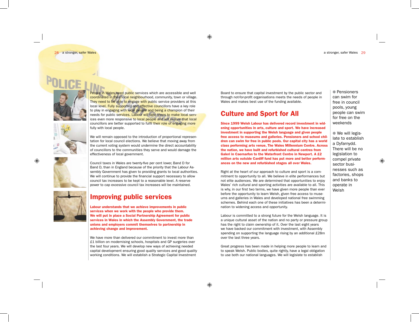a stronger, safer Wales 29

28 a stronger, safer Wales



People in Wales need public services which are accessible and well coordinated in their local neighbourhood, community, town or village. They need to be able to engage with public service providers at this local level. Fully supported and effective councillors have a key role to play in engaging with local people and being a champion of their needs for public services. Labour will take steps to make local services even more responsive to local people and will ensure that local councillors are better supported to fulfil their role of engaging more fully with local people.

We will remain opposed to the introduction of proportional representation for local council elections. We believe that moving away from the current voting system would undermine the direct accountability of councillors to the communities they serve and would damage the effectiveness of local government.

Council taxes in Wales are twenty-five per cent lower, Band D for Band D, than in England because of the priority that the Labour Assembly Government has given to providing grants to local authorities. We will continue to provide the financial support necessary to allow council tax increases to be kept to a reasonable level. A reserve power to cap excessive council tax increases will be maintained.



#### Improving public services

Labour understands that we achieve improvements in public services when we work with the people who provide them. We will put in place a Social Partnership Agreement for public services in Wales in which the Assembly Government, the trade unions and employers commit themselves to partnership in achieving change and improvement.

We have more than delivered our commitment to invest more than £1 billion on modernising schools, hospitals and GP surgeries over the last four years. We will develop new ways of achieving needed capital development ensuring good quality services and good quality working conditions. We will establish a Strategic Capital Investment

Board to ensure that capital investment by the public sector and through not-for-profit organisations meets the needs of people in Wales and makes best use of the funding available.

#### Culture and Sport for All

Since 1999 Welsh Labour has delivered record investment in widening opportunities in arts, culture and sport. We have increased investment in supporting the Welsh language and given people free access to museums and galleries. Pensioners and school children can swim for free in public pools. Our capital city has a world class performing arts venue, The Wales Millennium Centre. Across the nation, we have built and refurbished cultural centres from Galeri in Caernarfon to the Waterfront Centre in Newport. A £2 million arts outside Cardiff fund has put more and better performances on the new and refurbished stages all over Wales.

Right at the heart of our approach to culture and sport is a commitment to opportunity to all. We believe in elite performances but not elite audiences. We are determined that opportunities to enjoy Wales' rich cultural and sporting activities are available to all. This is why, in our first two terms, we have given more people than ever before the opportunity to learn Welsh, given free access to museums and galleries in Wales and developed national free swimming schemes. Behind each one of these initiatives has been a determination to widening access and opportunity.

Labour is committed to a strong future for the Welsh language. It is a unique cultural asset of the nation and no party or pressure group has the right to claim ownership of it. Over the last eight years we have backed our commitment with investment, with Assembly spending on supporting the language rising by an additional £28m over the last three years.

Great progress has been made in helping more people to learn and to speak Welsh. Public bodies, quite rightly, have a legal obligation to use both our national languages. We will legislate to establish

● Pensioners can swim for free in council pools, young people can swim for free on the weekends

 $\bullet$  We will legislate to establish a Dyfarnydd. There will be no legislation to compel private sector businesses such as factories, shops and banks to operate in Welsh

◈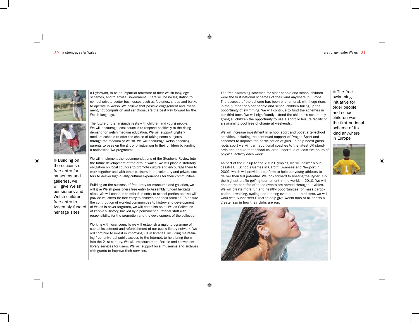

● Building on the success of free entry for museums and galleries, we will give Welsh pensioners and Welsh children free entry to Assembly funded heritage sites

⊕

a Dyfarnydd, to be an impartial arbitrator of their Welsh language schemes, and to advise Government. There will be no legislation to compel private sector businesses such as factories, shops and banks to operate in Welsh. We believe that positive engagement and investment, not compulsion and sanctions, are the best way forward for the Welsh language.

The future of the language rests with children and young people. We will encourage local councils to respond positively to the rising demand for Welsh medium education. We will support Englishmedium schools to offer the choice of taking some subjects through the medium of Welsh. We will encourage Welsh speaking parents to pass on the gift of bilingualism to their children by funding a nationwide Twf programme.

We will implement the recommendations of the Stephens Review into the future development of the arts in Wales. We will place a statutory obligation on local councils to promote culture and encourage them to work together and with other partners in the voluntary and private sectors to deliver high quality cultural experiences for their communities.

Building on the success of free entry for museums and galleries, we will give Welsh pensioners free entry to Assembly funded heritage sites. We will continue to offer free entry to school parties and we will provide vouchers for free entry to children and their families. To ensure the contribution of working communities to history and development of Wales is never forgotten, we will establish an all-Wales Collection of People's History, backed by a permanent curatorial staff with responsibility for the promotion and the development of the collection.

Working with local councils we will establish a major programme of capital investment and refurbishment of our public library network. We will continue to invest in improving ICT in libraries, including maintaining free, universal public access to the Internet, to help bring them into the 21st century. We will introduce more flexible and convenient library services for users. We will support local museums and archives with grants to improve their services.

The free swimming schemes for older people and school children were the first national schemes of their kind anywhere in Europe. The success of the scheme has been phenomenal, with huge rises in the number of older people and school children taking up the opportunity of swimming. We will continue to fund the schemes in our third term. We will significantly extend the children's scheme by giving all children the opportunity to use a sport or leisure facility or a swimming pool free of charge at weekends.

We will increase investment in school sport and boost after-school activities, including the continued support of Dragon Sport and schemes to improve the participation of girls. To help boost grassroots sport we will train additional coaches to the latest UK standards and ensure that school children undertake at least five hours of physical activity each week.

As part of the run-up to the 2012 Olympics, we will deliver a successful UK Schools Games in Cardiff, Swansea and Newport in 2009, which will provide a platform to help our young athletes to deliver their full potential. We look forward to hosting the Ryder Cup, the highest profile golfing tournament in the world, in 2010. We will ensure the benefits of these events are spread throughout Wales. We will create more fun and healthy opportunities for mass participation in walking, cycling and running events. In a third term, we will work with Supporters Direct to help give Welsh fans of all sports a greater say in how their clubs are run.



● The free swimming initiative for older people and school children was the first national scheme of its kind anywhere in Europe



◈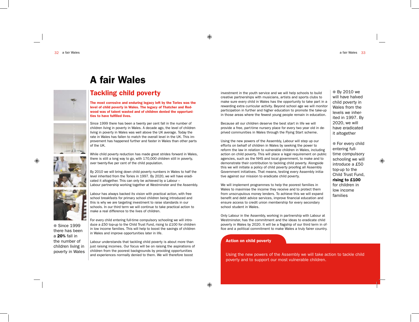

# A fair Wales

Tackling child poverty

The most corrosive and enduring legacy left by the Tories was the level of child poverty in Wales. The legacy of Thatcher and Redwood was of talent wasted and of children denied the opportunities to have fulfilled lives.

Since 1999 there has been a twenty per cent fall in the number of children living in poverty in Wales. A decade ago, the level of children living in poverty in Wales was well above the UK average. Today the rate in Wales has fallen to match the overall level in the UK. This improvement has happened further and faster in Wales than other parts of the UK.

While child poverty reduction has made great strides forward in Wales, there is still a long way to go, with 170,000 children still in poverty, over twenty-five per cent of the child population.



• Since 1999 there has been a 20% fall in the number of children living in

Labour has always backed its vision with practical action, with free school breakfasts for primary school children being introduced and this is why we are targeting investment to raise standards in our schools. In our third term we will continue to take practical action to make a real difference to the lives of children.

For every child entering full-time compulsory schooling we will introduce a £50 top-up to the Child Trust Fund, rising to £100 for children in low income families. This will help to boost the savings of children in Wales and improve opportunities later in life.

Labour understands that tackling child poverty is about more than just raising incomes. Our focus will be on raising the aspirations of children from the poorest backgrounds by providing opportunities and experiences normally denied to them. We will therefore boost poverty in Wales children from the poorest backgrounds by providing opportunities<br>Using the new powers of the Assembly we will take action to tackle child

investment in the youth service and we will help schools to build creative partnerships with musicians, artists and sports clubs to make sure every child in Wales has the opportunity to take part in a rewarding extra curricular activity. Beyond school age we will monitor participation in further and higher education to promote the take-up in those areas where the fewest young people remain in education.

Because all our children deserve the best start in life we will provide a free, part-time nursery place for every two year old in deprived communities in Wales through the Flying Start scheme.

Using the new powers of the Assembly, Labour will step up our efforts on behalf of children in Wales by seeking the power to reform the law in relation to vulnerable children in Wales, including action on child poverty. This will place a legal requirement on public agencies, such as the NHS and local government, to make and to demonstrate their contribution to tackling child poverty. Alongside this we will initiate a policy of child poverty proofing all Assembly Government initiatives. That means, testing every Assembly initiative against our mission to eradicate child poverty.

We will implement programmes to help the poorest families in Wales to maximise the income they receive and to protect them from unscrupulous money lenders. To achieve this we will expand benefit and debt advice services, improve financial education and ensure access to credit union membership for every secondary school student in Wales.

Only Labour in the Assembly, working in partnership with Labour at Westminster, has the commitment and the ideas to eradicate child poverty in Wales by 2020. It will be a flagship of our third term in office and a political commitment to make Wales a truly fairer country.

#### Action on child poverty

poverty and to support our most vulnerable children.

**By 2010 we** will have halved child poverty in Wales from the levels we inherited in 1997. By 2020, we will have eradicated it altogether

● For every child entering fulltime compulsory schooling we will introduce a £50 top-up to the Child Trust Fund, rising to £100 for children in low income families

◈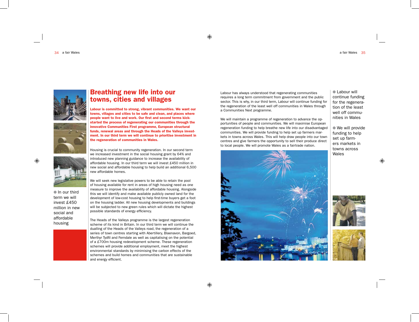

### Breathing new life into our towns, cities and villages

Labour is committed to strong, vibrant communities. We want our towns, villages and cities to be safe and clean, and places where people want to live and work. Our first and second terms kickstarted the process of regenerating our communities through the innovative Communities First programme, European structural funds, renewal areas and through the Heads of the Valleys investment. In our third term we will continue to prioritise investment in the regeneration of communities in Wales.

Housing is crucial to community regeneration. In our second term we increased investment in the social housing grant by 64% and introduced new planning guidance to increase the availability of affordable housing. In our third term we will invest £450 million in new social and affordable housing to help build an additional 6,500 new affordable homes.

 $\blacksquare$  In our third term we will invest £450 million in new social and affordable housing

We will seek new legislative powers to be able to retain the pool of housing available for rent in areas of high housing need as one measure to improve the availability of affordable housing. Alongside this we will identify and make available publicly owned land for the development of low-cost housing to help first-time buyers get a foot on the housing ladder. All new housing developments and buildings will be subjected to new green rules which will dictate the highest possible standards of energy efficiency.

The Heads of the Valleys programme is the largest regeneration scheme of its kind in Britain. In our third term we will continue the dualling of the Heads of the Valleys road, the regeneration of a series of town centres starting with Abertillery, Blaenavon, Bargoed, Merthyr Tydfil and Ferndale as well as capitalising on the potential of a £700m housing redevelopment scheme. These regeneration schemes will provide additional employment, meet the highest environmental standards by minimising the carbon effects of the schemes and build homes and communities that are sustainable and energy efficient.

Labour has always understood that regenerating communities requires a long term commitment from government and the public sector. This is why, in our third term, Labour will continue funding for the regeneration of the least well off communities in Wales through a Communities Next programme.

We will maintain a programme of regeneration to advance the opportunities of people and communities. We will maximise European regeneration funding to help breathe new life into our disadvantaged communities. We will provide funding to help set up farmers markets in towns across Wales. This will help draw people into our town centres and give farmers the opportunity to sell their produce direct to local people. We will promote Wales as a fairtrade nation.



**Labour will** continue funding for the regeneration of the least well off communities in Wales

 $\bullet$  We will provide funding to help set up farmers markets in towns across Wales

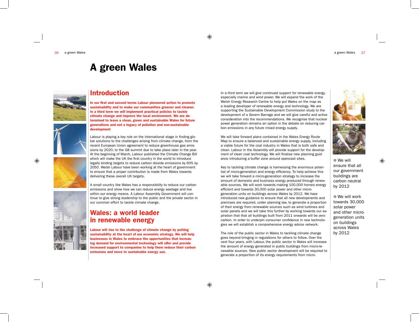# A green Wales



#### Introduction

In our first and second terms Labour pioneered action to promote sustainability and to make our communities greener and cleaner. In a third term we will implement practical policies to tackle climate change and improve the local environment. We are determined to leave a clean, green and sustainable Wales for future generations and not a legacy of pollution and non-sustainable development

Labour is playing a key role on the international stage in finding global solutions to the challenges arising from climate change, from the recent European Union agreement to reduce greenhouse gas emissions by 2020, to the G8 summit due to take place later in the year. At the beginning of March, Labour published the Climate Change Bill which will make the UK the first country in the world to introduce legally binding targets to reduce carbon dioxide emissions by 60% by 2050. Welsh Labour have been working at the heart of government to ensure that a proper contribution is made from Wales towards delivering these overall UK targets.

A small country like Wales has a responsibility to reduce our carbon emissions and show how we can reduce energy wastage and live within our energy means. A Labour Assembly Government will continue to give strong leadership to the public and the private sector in our common effort to tackle climate change.

#### Wales: a world leader in renewable energy

Labour will rise to the challenge of climate change by putting sustainability at the heart of our economic strategy. We will help businesses in Wales to embrace the opportunities that increasing demand for environmental technology will offer and provide increased support to companies to help them reduce their carbon emissions and move to sustainable energy use.

In a third term we will give continued support for renewable energy, especially marine and wind power. We will expand the work of the Welsh Energy Research Centre to help put Wales on the map as a leading developer of renewable energy and technology. We are supporting the Sustainable Development Commission study to the development of a Severn Barrage and we will give careful and active consideration into the recommendations. We recognise that nuclear power generation remains an option in the debate on reducing carbon emissions in any future mixed energy supply.

We will take forward plans contained in the Wales Energy Route Map to ensure a balanced and sustainable energy supply, including a viable future for the coal industry in Wales that is both safe and clean. Labour in the Assembly will provide support for the development of clean coal technology. We will finalise new planning guidance introducing a buffer zone around opencast sites.

Key to tackling climate change is harnessing the enormous potential of micro-generation and energy efficiency. To help achieve this we will take forward a micro-generation strategy to increase the amount of domestic and business energy produced through renewable sources. We will work towards making 100,000 homes energy efficient and towards 30,000 solar power and other microgeneration units on buildings across Wales by 2012. We have introduced new guidance to ensure that all new developments and premises are required, under planning law, to generate a proportion of their energy from renewable sources such as wind turbines and solar panels and we will take this further by working towards our aspiration that that all buildings built from 2011 onwards will be zero carbon. In order to underpin consumer confidence in new technologies we will establish a comprehensive energy advice network.

The role of the public sector in Wales to tackling climate change goes beyond bringing in regulations for others to follow. Over the next four years, with Labour, the public sector in Wales will increase the amount of energy generated in public buildings from micro-renewable sources. New public sector development will be required to generate a proportion of its energy requirements from micro-





 $\bullet$  We will ensure that all our government buildings are carbon neutral by 2012

◈

 $\bullet$  We will work towards 30,000 solar power and other microgeneration units on buildings across Wales by 2012

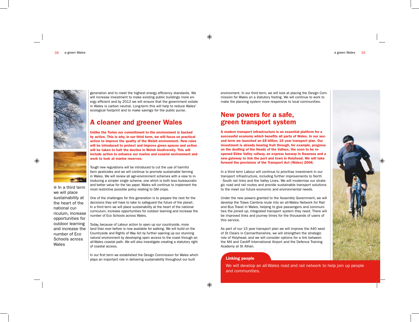

 $\bullet$  In a third term we will place sustainability at the heart of the national curriculum, increase opportunities for outdoor learning and increase the number of Eco Schools across

**AND REAL** 

Wales

generation and to meet the highest energy efficiency standards. We will increase investment to make existing public buildings more energy efficient and by 2012 we will ensure that the government estate in Wales is carbon neutral. Long-term this will help to reduce Wales' ecological footprint and to make savings for the public purse.

### A cleaner and greener Wales

Unlike the Tories our commitment to the environment is backed by action. This is why, in our third term, we will focus on practical action to improve the quality of the Welsh environment. New rules will be introduced to protect and improve green spaces and action will be taken to halt the decline in Welsh biodiversity. This will include action to enhance our marine and coastal environment and work to look at marine reserves.

Tough new regulations will be introduced to cut the use of harmful farm pesticides and we will continue to promote sustainable farming in Wales. We will review all agri-environment schemes with a view to introducing a simpler single scheme, one which is both less bureaucratic and better value for the tax payer. Wales will continue to implement the most restrictive possible policy relating to GM crops.

One of the challenges for this generation is to prepare the next for the decisions they will have to take to safeguard the future of the planet. In a third term we will place sustainability at the heart of the national curriculum, increase opportunities for outdoor learning and increase the number of Eco Schools across Wales.

Today, because of Labour action to open up our countryside, more land than ever before is now available for walking. We will build on the Countryside and Rights of Way Act by further opening up our stunning natural environment by developing open access to the coast through an all-Wales coastal path. We will also investigate creating a statutory right of coastal access.

In our first term we established the Design Commission for Wales which plays an important role in delivering sustainability throughout our built

environment. In our third term, we will look at placing the Design Commission for Wales on a statutory footing. We will continue to work to make the planning system more responsive to local communities.

#### New powers for a safe, green transport system

A modern transport infrastructure is an essential platform for a successful economy which benefits all parts of Wales. In our second term we launched an £8 billion, 15 year transport plan. Our investment is already bearing fruit through, for example, progress on the dualling of the Heads of the Valleys, the soon to be reopened Ebbw Valley railway, an express busway in Swansea and a new gateway to link the port and town in Holyhead. We will take forward the provisions of the Transport Act (Wales) 2006.

In a third term Labour will continue to prioritise investment in our transport infrastructure, including further improvements to North - South rail links and the Valley Lines. We will modernise our strategic road and rail routes and provide sustainable transport solutions to the meet our future economic and environmental needs.

Under the new powers granted to the Assembly Government, we will develop the Traws Cambria route into an all-Wales Network for Rail and Bus Travel in Wales, helping to give passengers and communities the joined up, integrated transport system they need. There will be improved links and journey times for the thousands of users of this service.

As part of our 15 year transport plan we will improve the A40 west of St Clears in Carmarthenshire, we will strengthen the strategic role of Holyhead, and we will consider options for a link between the M4 and Cardiff International Airport and the Defence Training Academy at St Athan.

#### Linking people

We will develop an all-Wales road and rail network to help join up people and communities.